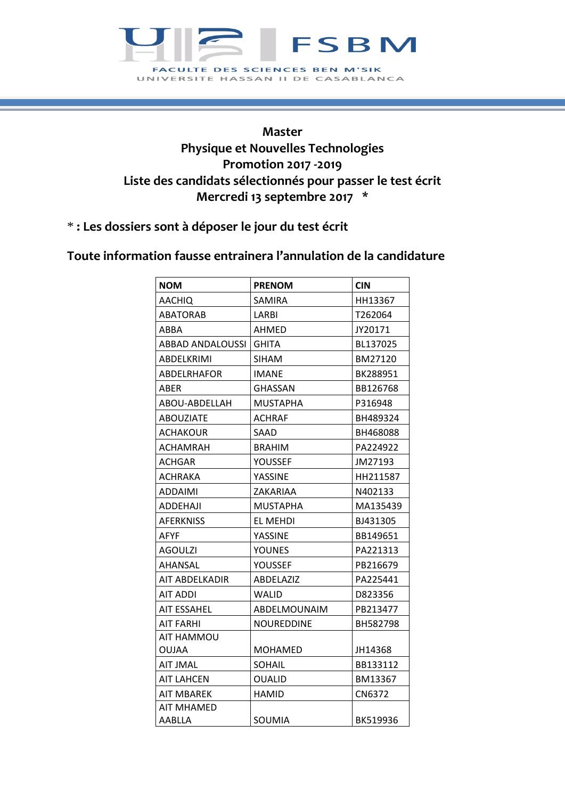

## **Master Physique et Nouvelles Technologies Promotion 2017 -2019 Liste des candidats sélectionnés pour passer le test écrit Mercredi 13 septembre 2017 \***

\* **: Les dossiers sont à déposer le jour du test écrit**

## **Toute information fausse entrainera l'annulation de la candidature**

| <b>NOM</b>            | <b>PRENOM</b>   | <b>CIN</b> |
|-----------------------|-----------------|------------|
| <b>AACHIQ</b>         | SAMIRA          | HH13367    |
| ABATORAB              | LARBI           | T262064    |
| ABBA                  | AHMED           | JY20171    |
| ABBAD ANDALOUSSI      | <b>GHITA</b>    | BL137025   |
| ABDELKRIMI            | SIHAM           | BM27120    |
| ABDELRHAFOR           | IMANE           | BK288951   |
| ABER                  | GHASSAN         | BB126768   |
| ABOU-ABDELLAH         | MUSTAPHA        | P316948    |
| ABOUZIATE             | ACHRAF          | BH489324   |
| ACHAKOUR              | SAAD            | BH468088   |
| ACHAMRAH              | <b>BRAHIM</b>   | PA224922   |
| ACHGAR                | YOUSSEF         | JM27193    |
| ACHRAKA               | YASSINE         | HH211587   |
| ADDAIMI               | ZAKARIAA        | N402133    |
| ADDEHAJI              | <b>MUSTAPHA</b> | MA135439   |
| <b>AFERKNISS</b>      | EL MEHDI        | BJ431305   |
| AFYF                  | YASSINE         | BB149651   |
| AGOULZI               | YOUNES          | PA221313   |
| AHANSAL               | YOUSSEF         | PB216679   |
| <b>AIT ABDELKADIR</b> | ABDELAZIZ       | PA225441   |
| AIT ADDI              | WALID           | D823356    |
| AIT ESSAHEL           | ABDELMOUNAIM    | PB213477   |
| AIT FARHI             | NOUREDDINE      | BH582798   |
| AIT HAMMOU            |                 |            |
| OUJAA                 | MOHAMED         | JH14368    |
| AIT JMAL              | SOHAIL          | BB133112   |
| <b>AIT LAHCEN</b>     | <b>OUALID</b>   | BM13367    |
| <b>AIT MBAREK</b>     | <b>HAMID</b>    | CN6372     |
| AIT MHAMED            |                 |            |
| AABLLA                | SOUMIA          | BK519936   |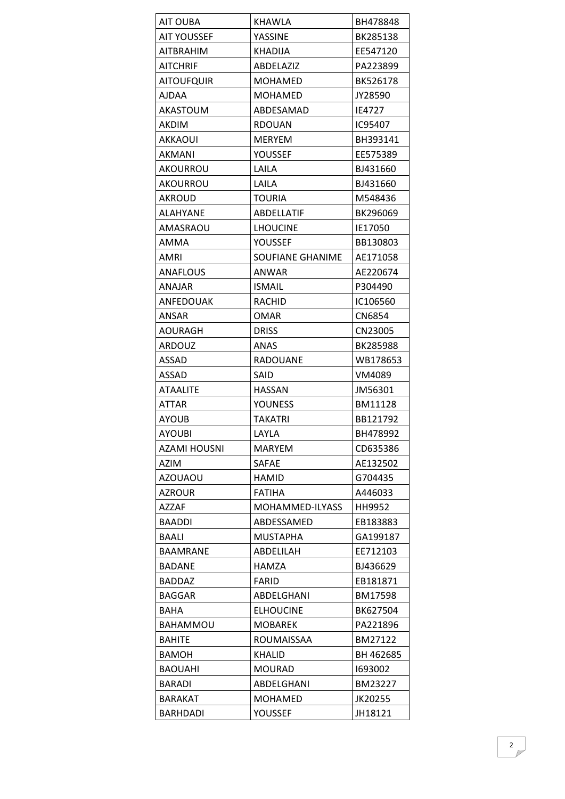| AIT OUBA          | KHAWLA                  | BH478848  |
|-------------------|-------------------------|-----------|
| AIT YOUSSEF       | YASSINE                 | BK285138  |
| <b>AITBRAHIM</b>  | <b>KHADIJA</b>          | EE547120  |
| <b>AITCHRIF</b>   | ABDELAZIZ               | PA223899  |
| <b>AITOUFQUIR</b> | <b>MOHAMED</b>          | BK526178  |
| AJDAA             | <b>MOHAMED</b>          | JY28590   |
| AKASTOUM          | ABDESAMAD               | IE4727    |
| AKDIM             | <b>RDOUAN</b>           | IC95407   |
| <b>AKKAOUI</b>    | <b>MERYEM</b>           | BH393141  |
| AKMANI            | YOUSSEF                 | EE575389  |
| AKOURROU          | LAILA                   | BJ431660  |
| AKOURROU          | LAILA                   | BJ431660  |
| AKROUD            | <b>TOURIA</b>           | M548436   |
| ALAHYANE          | ABDELLATIF              | BK296069  |
| AMASRAOU          | <b>LHOUCINE</b>         | IE17050   |
| AMMA              | YOUSSEF                 | BB130803  |
| AMRI              | <b>SOUFIANE GHANIME</b> | AE171058  |
| <b>ANAFLOUS</b>   | ANWAR                   | AE220674  |
| <b>ANAJAR</b>     | <b>ISMAIL</b>           | P304490   |
| <b>ANFEDOUAK</b>  | <b>RACHID</b>           | IC106560  |
| ANSAR             | <b>OMAR</b>             | CN6854    |
| AOURAGH           | <b>DRISS</b>            | CN23005   |
| ARDOUZ            | ANAS                    | BK285988  |
| ASSAD             | <b>RADOUANE</b>         | WB178653  |
|                   |                         |           |
| <b>ASSAD</b>      | SAID                    | VM4089    |
| <b>ATAALITE</b>   | HASSAN                  | JM56301   |
| <b>ATTAR</b>      | <b>YOUNESS</b>          | BM11128   |
| AYOUB             | <b>TAKATRI</b>          | BB121792  |
| <b>AYOUBI</b>     | LAYLA                   | BH478992  |
| AZAMI HOUSNI      | MARYEM                  | CD635386  |
| AZIM              | SAFAE                   | AE132502  |
| <b>AZOUAOU</b>    | <b>HAMID</b>            | G704435   |
| <b>AZROUR</b>     | <b>FATIHA</b>           | A446033   |
| AZZAF             | MOHAMMED-ILYASS         | HH9952    |
| <b>BAADDI</b>     | ABDESSAMED              | EB183883  |
| BAALI             | <b>MUSTAPHA</b>         | GA199187  |
| BAAMRANE          | ABDELILAH               | EE712103  |
| BADANE            | <b>HAMZA</b>            | BJ436629  |
| <b>BADDAZ</b>     | <b>FARID</b>            | EB181871  |
| <b>BAGGAR</b>     | ABDELGHANI              | BM17598   |
| BAHA              | <b>ELHOUCINE</b>        | BK627504  |
| BAHAMMOU          | <b>MOBAREK</b>          | PA221896  |
| BAHITE            | ROUMAISSAA              | BM27122   |
| <b>BAMOH</b>      | KHALID                  | BH 462685 |
| <b>BAOUAHI</b>    | <b>MOURAD</b>           | 1693002   |
| <b>BARADI</b>     | ABDELGHANI              | BM23227   |
| BARAKAT           | <b>MOHAMED</b>          | JK20255   |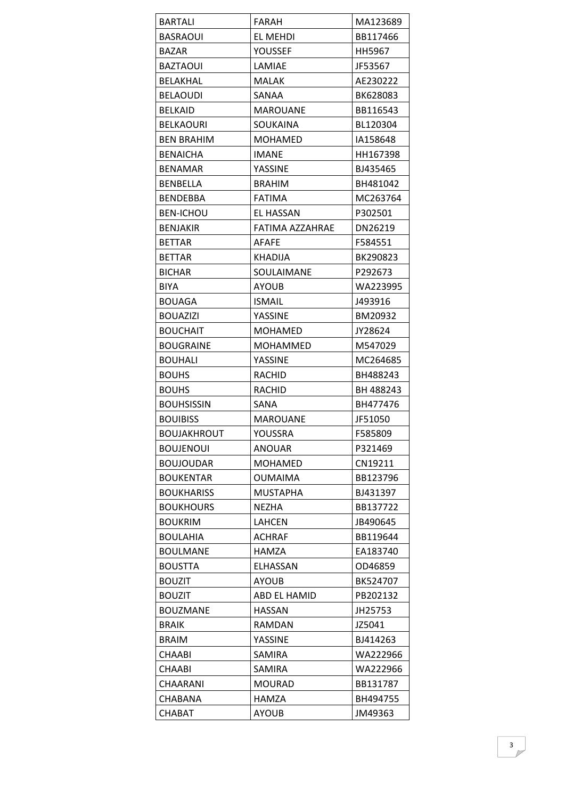| <b>BARTALI</b>     | FARAH           | MA123689  |
|--------------------|-----------------|-----------|
| <b>BASRAOUI</b>    | EL MEHDI        | BB117466  |
| <b>BAZAR</b>       | YOUSSEF         | HH5967    |
| <b>BAZTAOUI</b>    | LAMIAE          | JF53567   |
| <b>BELAKHAL</b>    | <b>MALAK</b>    | AE230222  |
| BELAOUDI           | SANAA           | BK628083  |
| <b>BELKAID</b>     | MAROUANE        | BB116543  |
| <b>BELKAOURI</b>   | SOUKAINA        | BL120304  |
| <b>BEN BRAHIM</b>  | MOHAMED         | IA158648  |
| <b>BENAICHA</b>    | <b>IMANE</b>    | HH167398  |
| BENAMAR            | YASSINE         | BJ435465  |
| <b>BENBELLA</b>    | <b>BRAHIM</b>   | BH481042  |
| BENDEBBA           | <b>FATIMA</b>   | MC263764  |
| <b>BEN-ICHOU</b>   | EL HASSAN       | P302501   |
| <b>BENJAKIR</b>    | FATIMA AZZAHRAE | DN26219   |
| <b>BETTAR</b>      | AFAFE           | F584551   |
| <b>BETTAR</b>      | <b>KHADIJA</b>  | BK290823  |
| <b>BICHAR</b>      | SOULAIMANE      | P292673   |
| <b>BIYA</b>        | <b>AYOUB</b>    | WA223995  |
| <b>BOUAGA</b>      | <b>ISMAIL</b>   | J493916   |
| <b>BOUAZIZI</b>    | YASSINE         | BM20932   |
| <b>BOUCHAIT</b>    | <b>MOHAMED</b>  | JY28624   |
| <b>BOUGRAINE</b>   | <b>MOHAMMED</b> | M547029   |
| <b>BOUHALI</b>     | YASSINE         | MC264685  |
| <b>BOUHS</b>       | RACHID          | BH488243  |
| <b>BOUHS</b>       | RACHID          | BH 488243 |
| <b>BOUHSISSIN</b>  | SANA            | BH477476  |
| <b>BOUIBISS</b>    | <b>MAROUANE</b> | JF51050   |
| <b>BOUJAKHROUT</b> | YOUSSRA         | F585809   |
| <b>BOUJENOUI</b>   | ANOUAR          | P321469   |
| <b>BOUJOUDAR</b>   | <b>MOHAMED</b>  | CN19211   |
| <b>BOUKENTAR</b>   | <b>OUMAIMA</b>  | BB123796  |
| <b>BOUKHARISS</b>  | MUSTAPHA        | BJ431397  |
| <b>BOUKHOURS</b>   | <b>NEZHA</b>    | BB137722  |
| <b>BOUKRIM</b>     | LAHCEN          | JB490645  |
| <b>BOULAHIA</b>    | <b>ACHRAF</b>   | BB119644  |
| <b>BOULMANE</b>    | HAMZA           | EA183740  |
| <b>BOUSTTA</b>     | ELHASSAN        | OD46859   |
| <b>BOUZIT</b>      | <b>AYOUB</b>    | BK524707  |
| <b>BOUZIT</b>      | ABD EL HAMID    | PB202132  |
| <b>BOUZMANE</b>    | <b>HASSAN</b>   | JH25753   |
| <b>BRAIK</b>       | <b>RAMDAN</b>   | JZ5041    |
| <b>BRAIM</b>       | YASSINE         | BJ414263  |
| CHAABI             | <b>SAMIRA</b>   | WA222966  |
| <b>CHAABI</b>      | SAMIRA          | WA222966  |
| CHAARANI           | <b>MOURAD</b>   | BB131787  |
| CHABANA            | HAMZA           | BH494755  |
| <b>CHABAT</b>      | <b>AYOUB</b>    | JM49363   |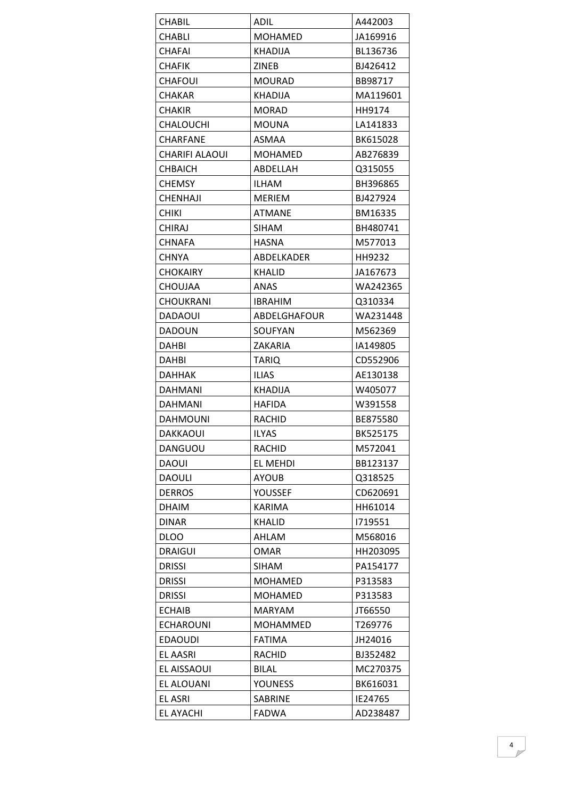| CHABIL                | ADIL            | A442003  |
|-----------------------|-----------------|----------|
| CHABLI                | MOHAMED         | JA169916 |
| <b>CHAFAI</b>         | KHADIJA         | BL136736 |
| CHAFIK                | ZINEB           | BJ426412 |
| <b>CHAFOUI</b>        | <b>MOURAD</b>   | BB98717  |
| <b>CHAKAR</b>         | <b>KHADIJA</b>  | MA119601 |
| <b>CHAKIR</b>         | <b>MORAD</b>    | HH9174   |
| CHALOUCHI             | <b>MOUNA</b>    | LA141833 |
| CHARFANE              | <b>ASMAA</b>    | BK615028 |
| <b>CHARIFI ALAOUI</b> | MOHAMED         | AB276839 |
| <b>CHBAICH</b>        | ABDELLAH        | Q315055  |
| <b>CHEMSY</b>         | <b>ILHAM</b>    | BH396865 |
| <b>CHENHAJI</b>       | MERIEM          | BJ427924 |
| <b>CHIKI</b>          | <b>ATMANE</b>   | BM16335  |
| CHIRAJ                | SIHAM           | BH480741 |
| <b>CHNAFA</b>         | <b>HASNA</b>    | M577013  |
| <b>CHNYA</b>          | ABDELKADER      | HH9232   |
| <b>CHOKAIRY</b>       | <b>KHALID</b>   | JA167673 |
| <b>CHOUJAA</b>        | ANAS            | WA242365 |
| <b>CHOUKRANI</b>      | <b>IBRAHIM</b>  | Q310334  |
| DADAOUI               | ABDELGHAFOUR    | WA231448 |
| <b>DADOUN</b>         | SOUFYAN         | M562369  |
| DAHBI                 | ZAKARIA         | IA149805 |
| <b>DAHBI</b>          | <b>TARIQ</b>    | CD552906 |
| DAHHAK                | <b>ILIAS</b>    | AE130138 |
| DAHMANI               | KHADIJA         | W405077  |
| DAHMANI               | <b>HAFIDA</b>   | W391558  |
| DAHMOUNI              | RACHID          | BE875580 |
| DAKKAOUI              | <b>ILYAS</b>    | BK525175 |
| DANGUOU               | <b>RACHID</b>   | M572041  |
| <b>DAOUI</b>          | <b>EL MEHDI</b> | BB123137 |
| <b>DAOULI</b>         | <b>AYOUB</b>    | Q318525  |
| <b>DERROS</b>         | YOUSSEF         | CD620691 |
| <b>DHAIM</b>          | <b>KARIMA</b>   | HH61014  |
| <b>DINAR</b>          | KHALID          | 1719551  |
| <b>DLOO</b>           | AHLAM           | M568016  |
| <b>DRAIGUI</b>        | <b>OMAR</b>     | HH203095 |
| <b>DRISSI</b>         | SIHAM           | PA154177 |
| <b>DRISSI</b>         | <b>MOHAMED</b>  | P313583  |
| <b>DRISSI</b>         | <b>MOHAMED</b>  | P313583  |
| <b>ECHAIB</b>         | <b>MARYAM</b>   | JT66550  |
| <b>ECHAROUNI</b>      | MOHAMMED        | T269776  |
| <b>EDAOUDI</b>        | <b>FATIMA</b>   | JH24016  |
| EL AASRI              | RACHID          | BJ352482 |
| EL AISSAOUI           | <b>BILAL</b>    | MC270375 |
| <b>EL ALOUANI</b>     | <b>YOUNESS</b>  | BK616031 |
| <b>EL ASRI</b>        | SABRINE         | IE24765  |
| <b>EL AYACHI</b>      | <b>FADWA</b>    | AD238487 |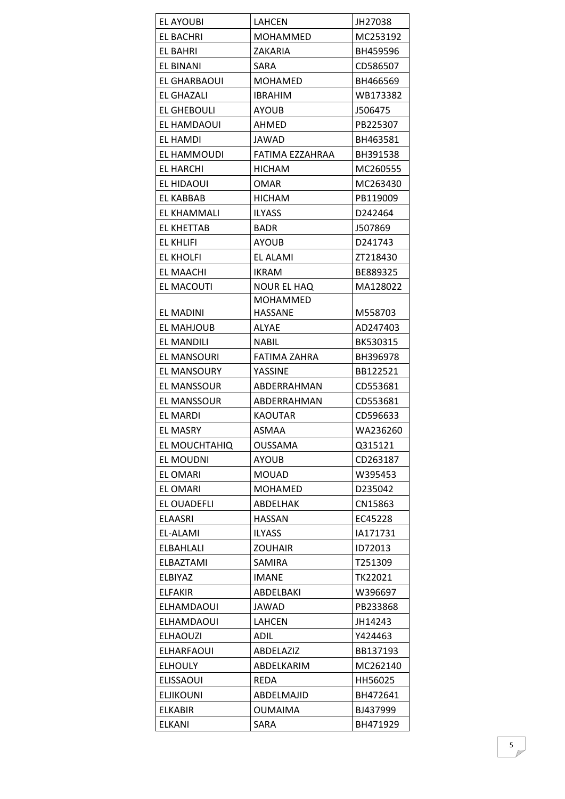| EL AYOUBI          | LAHCEN          | JH27038  |
|--------------------|-----------------|----------|
| EL BACHRI          | <b>MOHAMMED</b> | MC253192 |
| EL BAHRI           | ZAKARIA         | BH459596 |
| EL BINANI          | SARA            | CD586507 |
| EL GHARBAOUI       | <b>MOHAMED</b>  | BH466569 |
| <b>EL GHAZALI</b>  | <b>IBRAHIM</b>  | WB173382 |
| <b>EL GHEBOULI</b> | <b>AYOUB</b>    | J506475  |
| EL HAMDAOUI        | <b>AHMED</b>    | PB225307 |
| EL HAMDI           | <b>JAWAD</b>    | BH463581 |
| EL HAMMOUDI        | FATIMA EZZAHRAA | BH391538 |
| EL HARCHI          | HICHAM          | MC260555 |
| EL HIDAOUI         | <b>OMAR</b>     | MC263430 |
| EL KABBAB          | <b>HICHAM</b>   | PB119009 |
| EL KHAMMALI        | <b>ILYASS</b>   | D242464  |
| EL KHETTAB         | <b>BADR</b>     | J507869  |
| EL KHLIFI          | <b>AYOUB</b>    | D241743  |
| <b>EL KHOLFI</b>   | EL ALAMI        | ZT218430 |
| <b>EL MAACHI</b>   | <b>IKRAM</b>    | BE889325 |
| EL MACOUTI         | NOUR EL HAQ     | MA128022 |
|                    | MOHAMMED        |          |
| EL MADINI          | HASSANE         | M558703  |
| <b>EL MAHJOUB</b>  | <b>ALYAE</b>    | AD247403 |
| EL MANDILI         | <b>NABIL</b>    | BK530315 |
| EL MANSOURI        | FATIMA ZAHRA    | BH396978 |
| <b>EL MANSOURY</b> | YASSINE         | BB122521 |
| EL MANSSOUR        | ABDERRAHMAN     | CD553681 |
| <b>EL MANSSOUR</b> | ABDERRAHMAN     | CD553681 |
| EL MARDI           | <b>KAOUTAR</b>  | CD596633 |
| <b>EL MASRY</b>    | ASMAA           | WA236260 |
| EL MOUCHTAHIQ      | <b>OUSSAMA</b>  | Q315121  |
| EL MOUDNI          | <b>AYOUB</b>    | CD263187 |
| <b>EL OMARI</b>    | <b>MOUAD</b>    | W395453  |
| <b>EL OMARI</b>    | <b>MOHAMED</b>  | D235042  |
| EL OUADEFLI        | ABDELHAK        | CN15863  |
| <b>ELAASRI</b>     | <b>HASSAN</b>   | EC45228  |
| EL-ALAMI           | <b>ILYASS</b>   | IA171731 |
| ELBAHLALI          | <b>ZOUHAIR</b>  | ID72013  |
| ELBAZTAMI          | SAMIRA          | T251309  |
| ELBIYAZ            | <b>IMANE</b>    | TK22021  |
| <b>ELFAKIR</b>     | ABDELBAKI       | W396697  |
| ELHAMDAOUI         | JAWAD           | PB233868 |
| ELHAMDAOUI         | LAHCEN          | JH14243  |
| <b>ELHAOUZI</b>    | ADIL            | Y424463  |
| <b>ELHARFAOUI</b>  | ABDELAZIZ       | BB137193 |
| <b>ELHOULY</b>     | ABDELKARIM      | MC262140 |
| <b>ELISSAOUI</b>   | REDA            | HH56025  |
| <b>ELJIKOUNI</b>   | ABDELMAJID      | BH472641 |
| <b>ELKABIR</b>     | <b>OUMAIMA</b>  | BJ437999 |
| <b>ELKANI</b>      | SARA            | BH471929 |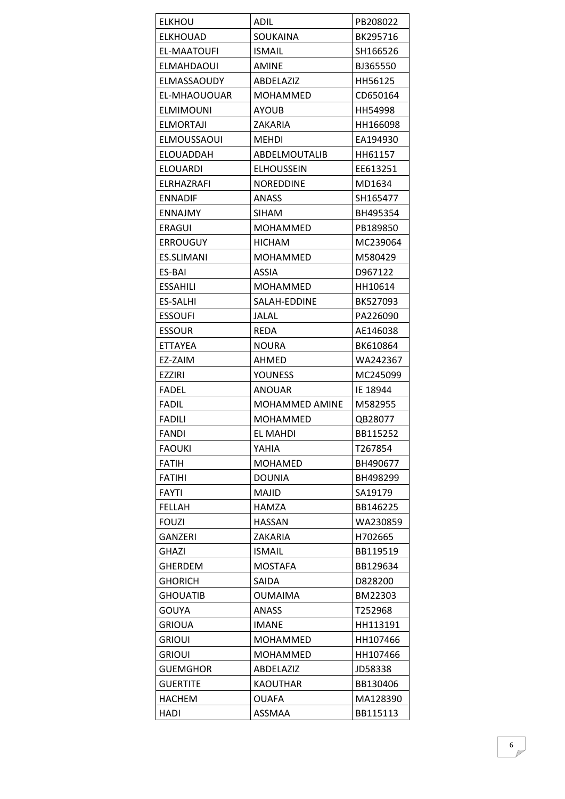| <b>ELKHOU</b>      | <b>ADIL</b>           | PB208022 |
|--------------------|-----------------------|----------|
| <b>ELKHOUAD</b>    | SOUKAINA              | BK295716 |
| EL-MAATOUFI        | <b>ISMAIL</b>         | SH166526 |
| ELMAHDAOUI         | AMINE                 | BJ365550 |
| ELMASSAOUDY        | ABDELAZIZ             | HH56125  |
| EL-MHAOUOUAR       | MOHAMMED              | CD650164 |
| ELMIMOUNI          | AYOUB                 | HH54998  |
| <b>ELMORTAJI</b>   | ZAKARIA               | HH166098 |
| <b>ELMOUSSAOUI</b> | <b>MEHDI</b>          | EA194930 |
| ELOUADDAH          | ABDELMOUTALIB         | HH61157  |
| <b>ELOUARDI</b>    | <b>ELHOUSSEIN</b>     | EE613251 |
| ELRHAZRAFI         | <b>NOREDDINE</b>      | MD1634   |
| <b>ENNADIF</b>     | <b>ANASS</b>          | SH165477 |
| <b>ENNAJMY</b>     | <b>SIHAM</b>          | BH495354 |
| <b>ERAGUI</b>      | <b>MOHAMMED</b>       | PB189850 |
| <b>ERROUGUY</b>    | <b>HICHAM</b>         | MC239064 |
| <b>ES.SLIMANI</b>  | MOHAMMED              | M580429  |
| ES-BAI             | ASSIA                 | D967122  |
| <b>ESSAHILI</b>    | <b>MOHAMMED</b>       | HH10614  |
| ES-SALHI           | SALAH-EDDINE          | BK527093 |
| <b>ESSOUFI</b>     | JALAL                 | PA226090 |
| <b>ESSOUR</b>      | <b>REDA</b>           | AE146038 |
| <b>ETTAYEA</b>     | <b>NOURA</b>          | BK610864 |
| EZ-ZAIM            | AHMED                 | WA242367 |
| <b>EZZIRI</b>      | <b>YOUNESS</b>        | MC245099 |
| <b>FADEL</b>       | <b>ANOUAR</b>         | IE 18944 |
| <b>FADIL</b>       | <b>MOHAMMED AMINE</b> | M582955  |
|                    |                       |          |
| <b>FADILI</b>      | <b>MOHAMMED</b>       | QB28077  |
| <b>FANDI</b>       | EL MAHDI              | BB115252 |
| <b>FAOUKI</b>      | YAHIA                 | T267854  |
| <b>FATIH</b>       | MOHAMED               | BH490677 |
| <b>FATIHI</b>      | <b>DOUNIA</b>         | BH498299 |
| FAYTI              | <b>MAJID</b>          | SA19179  |
| <b>FELLAH</b>      | HAMZA                 | BB146225 |
| <b>FOUZI</b>       | <b>HASSAN</b>         | WA230859 |
| <b>GANZERI</b>     | ZAKARIA               | H702665  |
| <b>GHAZI</b>       | <b>ISMAIL</b>         | BB119519 |
| <b>GHERDEM</b>     | <b>MOSTAFA</b>        | BB129634 |
| <b>GHORICH</b>     | SAIDA                 | D828200  |
| <b>GHOUATIB</b>    | <b>OUMAIMA</b>        | BM22303  |
| GOUYA              | <b>ANASS</b>          | T252968  |
| <b>GRIOUA</b>      | <b>IMANE</b>          | HH113191 |
| <b>GRIOUI</b>      | <b>MOHAMMED</b>       | HH107466 |
| <b>GRIOUI</b>      | MOHAMMED              | HH107466 |
| <b>GUEMGHOR</b>    | ABDELAZIZ             | JD58338  |
| <b>GUERTITE</b>    | <b>KAOUTHAR</b>       | BB130406 |
| <b>HACHEM</b>      | <b>OUAFA</b>          | MA128390 |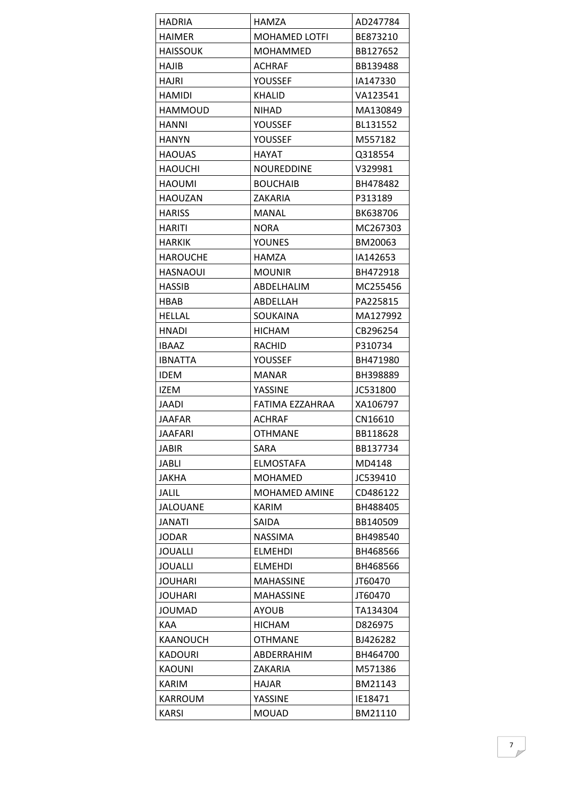| <b>HADRIA</b>   | HAMZA                | AD247784 |
|-----------------|----------------------|----------|
| <b>HAIMER</b>   | <b>MOHAMED LOTFI</b> | BE873210 |
| <b>HAISSOUK</b> | <b>MOHAMMED</b>      | BB127652 |
| <b>HAJIB</b>    | ACHRAF               | BB139488 |
| HAJRI           | YOUSSEF              | IA147330 |
| HAMIDI          | <b>KHALID</b>        | VA123541 |
| HAMMOUD         | NIHAD                | MA130849 |
| HANNI           | YOUSSEF              | BL131552 |
| HANYN           | YOUSSEF              | M557182  |
| <b>HAOUAS</b>   | HAYAT                | Q318554  |
| HAOUCHI         | NOUREDDINE           | V329981  |
| <b>HAOUMI</b>   | <b>BOUCHAIB</b>      | BH478482 |
| HAOUZAN         | ZAKARIA              | P313189  |
| <b>HARISS</b>   | MANAL                | BK638706 |
| HARITI          | <b>NORA</b>          | MC267303 |
| <b>HARKIK</b>   | <b>YOUNES</b>        | BM20063  |
| <b>HAROUCHE</b> | <b>HAMZA</b>         | IA142653 |
| HASNAOUI        | MOUNIR               | BH472918 |
| <b>HASSIB</b>   | ABDELHALIM           | MC255456 |
| HBAB            | ABDELLAH             | PA225815 |
| HELLAL          | SOUKAINA             | MA127992 |
| <b>HNADI</b>    | <b>HICHAM</b>        | CB296254 |
| <b>IBAAZ</b>    | RACHID               | P310734  |
| <b>IBNATTA</b>  | YOUSSEF              | BH471980 |
| <b>IDEM</b>     | MANAR                | BH398889 |
| IZEM            | YASSINE              | JC531800 |
| JAADI           | FATIMA EZZAHRAA      | XA106797 |
| JAAFAR          | ACHRAF               | CN16610  |
| <b>JAAFARI</b>  | <b>OTHMANE</b>       | BB118628 |
| <b>JABIR</b>    | SARA                 | BB137734 |
| JABLI           | <b>ELMOSTAFA</b>     | MD4148   |
| JAKHA           | MOHAMED              | JC539410 |
| JALIL           | <b>MOHAMED AMINE</b> | CD486122 |
| <b>JALOUANE</b> | <b>KARIM</b>         | BH488405 |
| <b>JANATI</b>   | SAIDA                | BB140509 |
| <b>JODAR</b>    | <b>NASSIMA</b>       | BH498540 |
| <b>JOUALLI</b>  | <b>ELMEHDI</b>       | BH468566 |
| <b>JOUALLI</b>  | <b>ELMEHDI</b>       | BH468566 |
| <b>JOUHARI</b>  | <b>MAHASSINE</b>     | JT60470  |
| <b>JOUHARI</b>  | <b>MAHASSINE</b>     | JT60470  |
| <b>JOUMAD</b>   | <b>AYOUB</b>         | TA134304 |
| KAA             | <b>HICHAM</b>        | D826975  |
| KAANOUCH        | <b>OTHMANE</b>       | BJ426282 |
| <b>KADOURI</b>  | ABDERRAHIM           | BH464700 |
| KAOUNI          | ZAKARIA              | M571386  |
| KARIM           | HAJAR                | BM21143  |
| <b>KARROUM</b>  | YASSINE              | IE18471  |
| <b>KARSI</b>    | <b>MOUAD</b>         | BM21110  |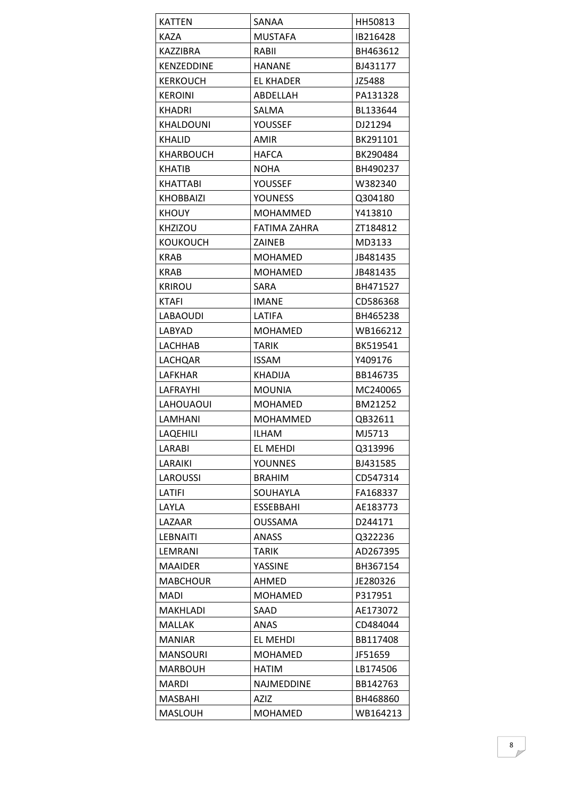| <b>KATTEN</b>   | SANAA               | HH50813  |
|-----------------|---------------------|----------|
| KAZA            | <b>MUSTAFA</b>      | IB216428 |
| KAZZIBRA        | RABII               | BH463612 |
| KENZEDDINE      | <b>HANANE</b>       | BJ431177 |
| KERKOUCH        | <b>EL KHADER</b>    | JZ5488   |
| <b>KEROINI</b>  | ABDELLAH            | PA131328 |
| <b>KHADRI</b>   | SALMA               | BL133644 |
| KHALDOUNI       | YOUSSEF             | DJ21294  |
| <b>KHALID</b>   | AMIR                | BK291101 |
| KHARBOUCH       | <b>HAFCA</b>        | BK290484 |
| <b>KHATIB</b>   | <b>NOHA</b>         | BH490237 |
| KHATTABI        | YOUSSEF             | W382340  |
| KHOBBAIZI       | <b>YOUNESS</b>      | Q304180  |
| <b>KHOUY</b>    | <b>MOHAMMED</b>     | Y413810  |
| <b>KHZIZOU</b>  | <b>FATIMA ZAHRA</b> | ZT184812 |
| KOUKOUCH        | <b>ZAINEB</b>       | MD3133   |
| <b>KRAB</b>     | <b>MOHAMED</b>      | JB481435 |
| KRAB            | <b>MOHAMED</b>      | JB481435 |
| <b>KRIROU</b>   | SARA                | BH471527 |
| <b>KTAFI</b>    | <b>IMANE</b>        | CD586368 |
| LABAOUDI        | LATIFA              | BH465238 |
| LABYAD          | <b>MOHAMED</b>      | WB166212 |
| LACHHAB         | TARIK               | BK519541 |
| LACHQAR         | <b>ISSAM</b>        | Y409176  |
| LAFKHAR         | KHADIJA             | BB146735 |
| LAFRAYHI        | <b>MOUNIA</b>       | MC240065 |
| LAHOUAOUI       | <b>MOHAMED</b>      | BM21252  |
| LAMHANI         | MOHAMMED            | QB32611  |
| LAQEHILI        | ILHAM               | MJ5713   |
| LARABI          | EL MEHDI            | Q313996  |
| LARAIKI         | <b>YOUNNES</b>      | BJ431585 |
| LAROUSSI        | <b>BRAHIM</b>       | CD547314 |
| LATIFI          | SOUHAYLA            | FA168337 |
| LAYLA           | <b>ESSEBBAHI</b>    | AE183773 |
| LAZAAR          | <b>OUSSAMA</b>      | D244171  |
| <b>LEBNAITI</b> | <b>ANASS</b>        | Q322236  |
| LEMRANI         | <b>TARIK</b>        | AD267395 |
| <b>MAAIDER</b>  | YASSINE             | BH367154 |
| <b>MABCHOUR</b> | AHMED               | JE280326 |
| <b>MADI</b>     | <b>MOHAMED</b>      | P317951  |
| MAKHLADI        | SAAD                | AE173072 |
| MALLAK          | ANAS                | CD484044 |
| <b>MANIAR</b>   | <b>EL MEHDI</b>     | BB117408 |
| <b>MANSOURI</b> | <b>MOHAMED</b>      | JF51659  |
| <b>MARBOUH</b>  | HATIM               | LB174506 |
| <b>MARDI</b>    | NAJMEDDINE          | BB142763 |
| <b>MASBAHI</b>  | <b>AZIZ</b>         | BH468860 |
| <b>MASLOUH</b>  | <b>MOHAMED</b>      | WB164213 |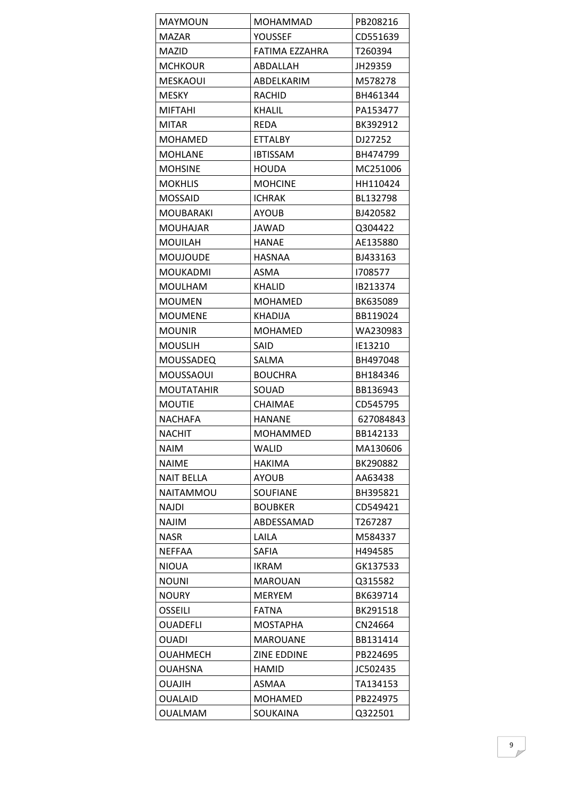| <b>MAYMOUN</b>    | MOHAMMAD        | PB208216  |
|-------------------|-----------------|-----------|
| <b>MAZAR</b>      | YOUSSEF         | CD551639  |
| <b>MAZID</b>      | FATIMA EZZAHRA  | T260394   |
| MCHKOUR           | ABDALLAH        | JH29359   |
| MESKAOUI          | ABDELKARIM      | M578278   |
| <b>MESKY</b>      | <b>RACHID</b>   | BH461344  |
| <b>MIFTAHI</b>    | <b>KHALIL</b>   | PA153477  |
| MITAR             | <b>REDA</b>     | BK392912  |
| MOHAMED           | <b>ETTALBY</b>  | DJ27252   |
| <b>MOHLANE</b>    | <b>IBTISSAM</b> | BH474799  |
| <b>MOHSINE</b>    | <b>HOUDA</b>    | MC251006  |
| <b>MOKHLIS</b>    | <b>MOHCINE</b>  | HH110424  |
| <b>MOSSAID</b>    | ICHRAK          | BL132798  |
| MOUBARAKI         | <b>AYOUB</b>    | BJ420582  |
| MOUHAJAR          | JAWAD           | Q304422   |
| <b>MOUILAH</b>    | <b>HANAE</b>    | AE135880  |
| <b>MOUJOUDE</b>   | <b>HASNAA</b>   | BJ433163  |
| <b>MOUKADMI</b>   | ASMA            | 1708577   |
| <b>MOULHAM</b>    | <b>KHALID</b>   | IB213374  |
| <b>MOUMEN</b>     | MOHAMED         | BK635089  |
| MOUMENE           | KHADIJA         | BB119024  |
| <b>MOUNIR</b>     | <b>MOHAMED</b>  | WA230983  |
| <b>MOUSLIH</b>    | SAID            | IE13210   |
| <b>MOUSSADEQ</b>  | SALMA           | BH497048  |
| MOUSSAOUI         | <b>BOUCHRA</b>  | BH184346  |
| <b>MOUTATAHIR</b> | SOUAD           | BB136943  |
| <b>MOUTIE</b>     | <b>CHAIMAE</b>  | CD545795  |
| NACHAFA           | <b>HANANE</b>   | 627084843 |
| <b>NACHIT</b>     | MOHAMMED        | BB142133  |
| <b>NAIM</b>       | WALID           | MA130606  |
| <b>NAIME</b>      | <b>HAKIMA</b>   | BK290882  |
| <b>NAIT BELLA</b> | <b>AYOUB</b>    | AA63438   |
| NAITAMMOU         | <b>SOUFIANE</b> | BH395821  |
| NAJDI             | <b>BOUBKER</b>  | CD549421  |
| NAJIM             | ABDESSAMAD      | T267287   |
| <b>NASR</b>       | LAILA           | M584337   |
| <b>NEFFAA</b>     | <b>SAFIA</b>    | H494585   |
| <b>NIOUA</b>      | <b>IKRAM</b>    | GK137533  |
| <b>NOUNI</b>      | <b>MAROUAN</b>  | Q315582   |
| <b>NOURY</b>      | <b>MERYEM</b>   | BK639714  |
| <b>OSSEILI</b>    | <b>FATNA</b>    | BK291518  |
| <b>OUADEFLI</b>   | <b>MOSTAPHA</b> | CN24664   |
| <b>OUADI</b>      | <b>MAROUANE</b> | BB131414  |
| <b>OUAHMECH</b>   | ZINE EDDINE     | PB224695  |
| <b>OUAHSNA</b>    | HAMID           | JC502435  |
| <b>NILAUO</b>     | ASMAA           | TA134153  |
| <b>OUALAID</b>    | <b>MOHAMED</b>  | PB224975  |
| <b>OUALMAM</b>    | SOUKAINA        | Q322501   |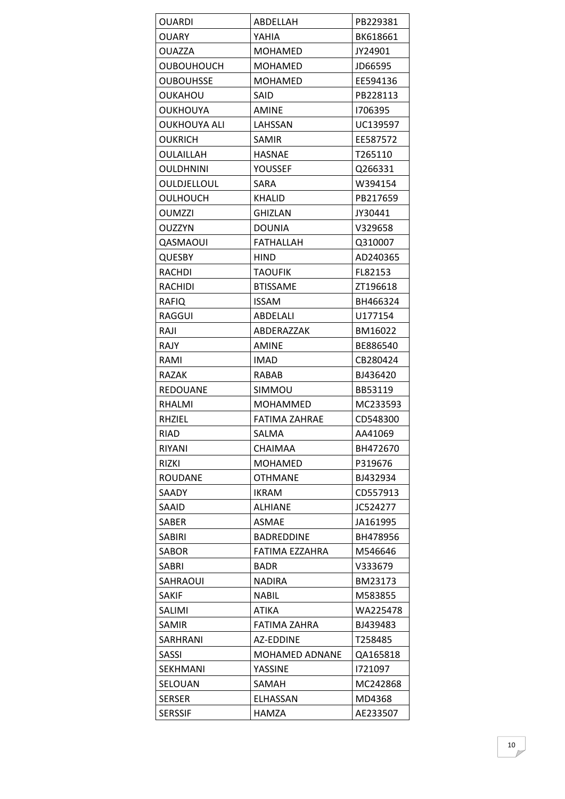| OUARDI            | ABDELLAH          | PB229381 |
|-------------------|-------------------|----------|
| OUARY             | YAHIA             | BK618661 |
| OUAZZA            | MOHAMED           | JY24901  |
| <b>OUBOUHOUCH</b> | MOHAMED           | JD66595  |
| <b>OUBOUHSSE</b>  | <b>MOHAMED</b>    | EE594136 |
| OUKAHOU           | SAID              | PB228113 |
| OUKHOUYA          | <b>AMINE</b>      | 1706395  |
| OUKHOUYA ALI      | LAHSSAN           | UC139597 |
| OUKRICH           | <b>SAMIR</b>      | EE587572 |
| OULAILLAH         | <b>HASNAE</b>     | T265110  |
| OULDHNINI         | YOUSSEF           | Q266331  |
| OULDJELLOUL       | SARA              | W394154  |
| OULHOUCH          | KHALID            | PB217659 |
| OUMZZI            | GHIZLAN           | JY30441  |
| OUZZYN            | <b>DOUNIA</b>     | V329658  |
| QASMAOUI          | <b>FATHALLAH</b>  | Q310007  |
| QUESBY            | <b>HIND</b>       | AD240365 |
| RACHDI            | <b>TAOUFIK</b>    | FL82153  |
| <b>RACHIDI</b>    | <b>BTISSAME</b>   | ZT196618 |
| RAFIQ             | ISSAM             | BH466324 |
| RAGGUI            | ABDELALI          | U177154  |
| RAJI              | ABDERAZZAK        | BM16022  |
| RAJY              | <b>AMINE</b>      | BE886540 |
| RAMI              | <b>IMAD</b>       | CB280424 |
| RAZAK             | RABAB             | BJ436420 |
| REDOUANE          | SIMMOU            | BB53119  |
| RHALMI            | <b>MOHAMMED</b>   | MC233593 |
| RHZIEL            | FATIMA ZAHRAE     | CD548300 |
| RIAD              | SALMA             | AA41069  |
| RIYANI            | CHAIMAA           | BH472670 |
| RIZKI             | <b>MOHAMED</b>    | P319676  |
| <b>ROUDANE</b>    | <b>OTHMANE</b>    | BJ432934 |
| <b>SAADY</b>      | <b>IKRAM</b>      | CD557913 |
| SAAID             | <b>ALHIANE</b>    | JC524277 |
| SABER             | ASMAE             | JA161995 |
| <b>SABIRI</b>     | <b>BADREDDINE</b> | BH478956 |
| <b>SABOR</b>      | FATIMA EZZAHRA    | M546646  |
| SABRI             | BADR              | V333679  |
| SAHRAOUI          | <b>NADIRA</b>     | BM23173  |
| SAKIF             | NABIL             | M583855  |
| SALIMI            | <b>ATIKA</b>      | WA225478 |
| <b>SAMIR</b>      | FATIMA ZAHRA      | BJ439483 |
| SARHRANI          | <b>AZ-EDDINE</b>  | T258485  |
| <b>SASSI</b>      | MOHAMED ADNANE    | QA165818 |
| <b>SEKHMANI</b>   | YASSINE           | 1721097  |
| SELOUAN           | SAMAH             | MC242868 |
| <b>SERSER</b>     | ELHASSAN          | MD4368   |
| <b>SERSSIF</b>    | <b>HAMZA</b>      | AE233507 |